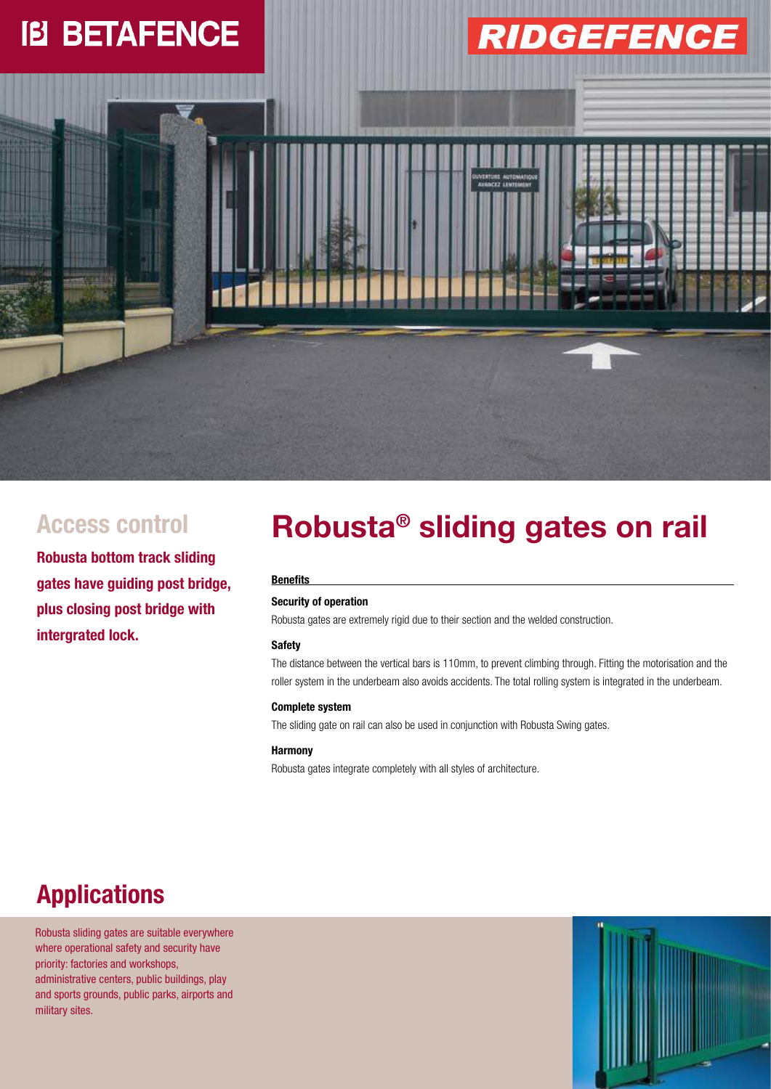### **IB BETAFENCE**

# **RIDGEFENCE**



**Robusta bottom track sliding gates have guiding post bridge, plus closing post bridge with intergrated lock.**

## Access control **Robusta<sup>®</sup> sliding gates on rail**

#### **Benefits**

### **Security of operation**

Robusta gates are extremely rigid due to their section and the welded construction.

#### **Safety**

The distance between the vertical bars is 110mm, to prevent climbing through. Fitting the motorisation and the roller system in the underbeam also avoids accidents. The total rolling system is integrated in the underbeam.

#### **Complete system**

The sliding gate on rail can also be used in conjunction with Robusta Swing gates.

#### **Harmony**

Robusta gates integrate completely with all styles of architecture.

### **Applications**

Robusta sliding gates are suitable everywhere where operational safety and security have priority: factories and workshops, administrative centers, public buildings, play and sports grounds, public parks, airports and military sites.